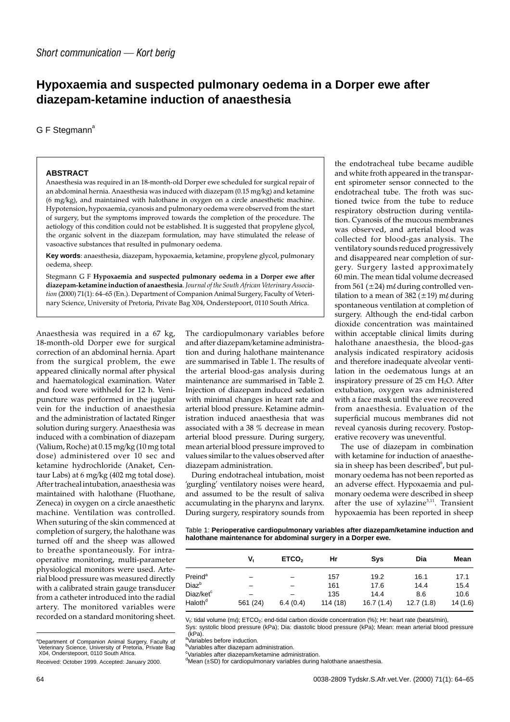## **Hypoxaemia and suspected pulmonary oedema in a Dorper ewe after diazepam-ketamine induction of anaesthesia**

## $G F$  Stegmann<sup>a</sup>

## **ABSTRACT**

Anaesthesia was required in an 18-month-old Dorper ewe scheduled for surgical repair of an abdominal hernia. Anaesthesia was induced with diazepam (0.15 mg/kg) and ketamine (6 mg/kg), and maintained with halothane in oxygen on a circle anaesthetic machine. Hypotension, hypoxaemia, cyanosis and pulmonary oedema were observed from the start of surgery, but the symptoms improved towards the completion of the procedure. The aetiology of this condition could not be established. It is suggested that propylene glycol, the organic solvent in the diazepam formulation, may have stimulated the release of vasoactive substances that resulted in pulmonary oedema.

**Key words**: anaesthesia, diazepam, hypoxaemia, ketamine, propylene glycol, pulmonary oedema, sheep.

Stegmann G F **Hypoxaemia and suspected pulmonary oedema in a Dorper ewe after diazepam-ketamine induction of anaesthesia**. *Journal of the South African Veterinary Association* (2000) 71(1): 64–65 (En.). Department of Companion Animal Surgery, Faculty of Veterinary Science, University of Pretoria, Private Bag X04, Onderstepoort, 0110 South Africa.

Anaesthesia was required in a 67 kg, 18-month-old Dorper ewe for surgical correction of an abdominal hernia. Apart from the surgical problem, the ewe appeared clinically normal after physical and haematological examination. Water and food were withheld for 12 h. Venipuncture was performed in the jugular vein for the induction of anaesthesia and the administration of lactated Ringer solution during surgery. Anaesthesia was induced with a combination of diazepam (Valium, Roche) at 0.15 mg/kg (10 mg total dose) administered over 10 sec and ketamine hydrochloride (Anaket, Centaur Labs) at 6 mg/kg (402 mg total dose). After tracheal intubation, anaesthesia was maintained with halothane (Fluothane, Zeneca) in oxygen on a circle anaesthetic machine. Ventilation was controlled. When suturing of the skin commenced at completion of surgery, the halothane was turned off and the sheep was allowed to breathe spontaneously. For intraoperative monitoring, multi-parameter physiological monitors were used. Arterial blood pressure was measured directly with a calibrated strain gauge transducer from a catheter introduced into the radial artery. The monitored variables were recorded on a standard monitoring sheet.

The cardiopulmonary variables before and after diazepam/ketamine administration and during halothane maintenance are summarised in Table 1. The results of the arterial blood-gas analysis during maintenance are summarised in Table 2. Injection of diazepam induced sedation with minimal changes in heart rate and arterial blood pressure. Ketamine administration induced anaesthesia that was associated with a 38 % decrease in mean arterial blood pressure. During surgery, mean arterial blood pressure improved to values similar to the values observed after diazepam administration.

During endotracheal intubation, moist 'gurgling' ventilatory noises were heard, and assumed to be the result of saliva accumulating in the pharynx and larynx. During surgery, respiratory sounds from

the endotracheal tube became audible and white froth appeared in the transparent spirometer sensor connected to the endotracheal tube. The froth was suctioned twice from the tube to reduce respiratory obstruction during ventilation. Cyanosis of the mucous membranes was observed, and arterial blood was collected for blood-gas analysis. The ventilatory sounds reduced progressively and disappeared near completion of surgery. Surgery lasted approximately 60 min. The mean tidal volume decreased from 561 ( $\pm$ 24) m $\ell$  during controlled ventilation to a mean of 382 ( $\pm$ 19) m $\ell$  during spontaneous ventilation at completion of surgery. Although the end-tidal carbon dioxide concentration was maintained within acceptable clinical limits during halothane anaesthesia, the blood-gas analysis indicated respiratory acidosis and therefore inadequate alveolar ventilation in the oedematous lungs at an inspiratory pressure of  $25 \text{ cm } H_2O$ . After extubation, oxygen was administered with a face mask until the ewe recovered from anaesthesia. Evaluation of the superficial mucous membranes did not reveal cyanosis during recovery. Postoperative recovery was uneventful.

The use of diazepam in combination with ketamine for induction of anaesthesia in sheep has been described<sup>6</sup>, but pulmonary oedema has not been reported as an adverse effect. Hypoxaemia and pulmonary oedema were described in sheep after the use of xylazine<sup>3,11</sup>. Transient hypoxaemia has been reported in sheep

Table 1: **Perioperative cardiopulmonary variables after diazepam/ketamine induction and halothane maintenance for abdominal surgery in a Dorper ewe.**

|                              | V,       | ETCO <sub>2</sub> | Hr       | Sys       | Dia       | Mean    |
|------------------------------|----------|-------------------|----------|-----------|-----------|---------|
| Preind <sup>a</sup>          |          |                   | 157      | 19.2      | 16.1      | 17.1    |
| Diaz <sup>b</sup>            |          |                   | 161      | 17.6      | 14.4      | 15.4    |
| Diaz/ket <sup>c</sup>        |          |                   | 135      | 14.4      | 8.6       | 10.6    |
| $\mathsf{Haloth}^\mathsf{d}$ | 561 (24) | 6.4(0.4)          | 114 (18) | 16.7(1.4) | 12.7(1.8) | 14(1.6) |

V<sub>t</sub>: tidal volume (m/); ETCO<sub>2</sub>: end-tidal carbon dioxide concentration (%); Hr: heart rate (beats/min),<br>Sys: systolic blood pressure (kPa); Dia: diastolic blood pressure (kPa); Mean: mean arterial blood pressure<br>(kPa).

c Variables after diazepam/ketamine administration.

d Mean (±SD) for cardiopulmonary variables during halothane anaesthesia.

a Department of Companion Animal Surgery, Faculty of Veterinary Science, University of Pretoria, Private Bag X04, Onderstepoort, 0110 South Africa.

Received: October 1999. Accepted: January 2000.

<sup>&</sup>lt;sup>a</sup>Variables before induction.

<sup>&</sup>lt;sup>b</sup>Variables after diazepam administration.